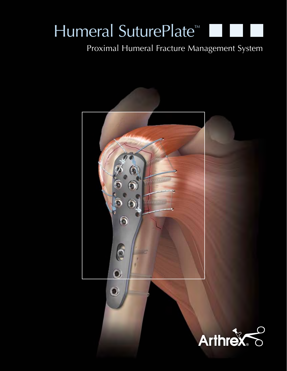# Humeral SuturePlate™

### Proximal Humeral Fracture Management System

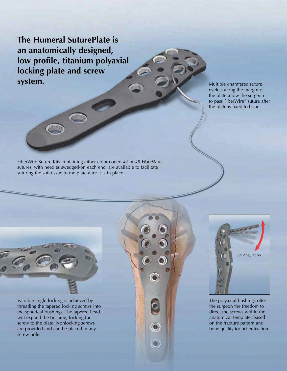**The Humeral SuturePlate is an anatomically designed, low profile, titanium polyaxial locking plate and screw system.**

Multiple chamfered suture eyelets along the margin of the plate allow the surgeon to pass FiberWire® suture after the plate is fixed to bone.

FiberWire Suture Kits containing either color-coded #2 or #5 FiberWire sutures, with needles swedged-on each end, are available to facilitate suturing the soft tissue to the plate after it is in place.



Variable angle-locking is achieved by threading the tapered locking screws into the spherical bushings. The tapered head will expand the bushing, locking the screw to the plate. Nonlocking screws are provided and can be placed in any screw hole.





The polyaxial bushings offer the surgeon the freedom to direct the screws within the anatomical template, based on the fracture pattern and bone quality for better fixation.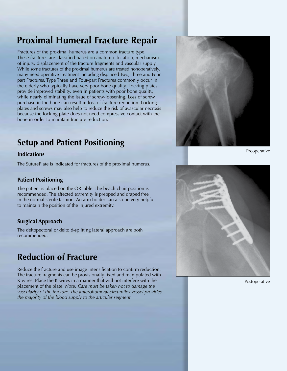### **Proximal Humeral Fracture Repair**

Fractures of the proximal humerus are a common fracture type. These fractures are classified-based on anatomic location, mechanism of injury, displacement of the fracture fragments and vascular supply. While some fractures of the proximal humerus are treated nonoperatively, many need operative treatment including displaced Two, Three and Fourpart Fractures. Type Three and Four-part Fractures commonly occur in the elderly who typically have very poor bone quality. Locking plates provide improved stability, even in patients with poor bone quality, while nearly eliminating the issue of screw-loosening. Loss of screw purchase in the bone can result in loss of fracture reduction. Locking plates and screws may also help to reduce the risk of avascular necrosis because the locking plate does not need compressive contact with the bone in order to maintain fracture reduction.

### **Setup and Patient Positioning**

#### **Indications**

The SuturePlate is indicated for fractures of the proximal humerus.

#### **Patient Positioning**

The patient is placed on the OR table. The beach chair position is recommended. The affected extremity is prepped and draped free in the normal sterile fashion. An arm holder can also be very helpful to maintain the position of the injured extremity.

#### **Surgical Approach**

The deltopectoral or deltoid-splitting lateral approach are both recommended.

### **Reduction of Fracture**

Reduce the fracture and use image intensification to confirm reduction. The fracture fragments can be provisionally fixed and manipulated with K-wires. Place the K-wires in a manner that will not interfere with the placement of the plate. *Note: Care must be taken not to damage the vascularity of the fracture. The anterohumeral circumflex vessel provides the majority of the blood supply to the articular segment.*



Preoperative



Postoperative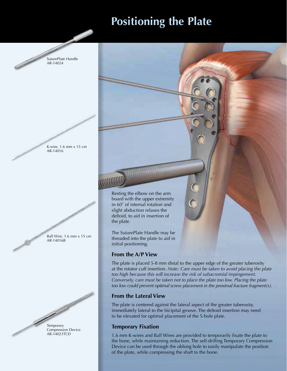### **Positioning the Plate**

SuturePlate Handle AR-14024

K-wire, 1.6 mm x 15 cm AR-14016

Ball Wire, 1.6 mm x 15 cm AR-14016B

Canal Links and Canal Links

D



Resting the elbow on the arm board with the upper extremity in 60˚ of internal rotation and slight abduction relaxes the deltoid, to aid in insertion of the plate.

The SuturePlate Handle may be threaded into the plate to aid in initial positioning.

#### **From the A/P View**

The plate is placed 5-8 mm distal to the upper edge of the greater tuberosity at the rotator cuff insertion. *Note: Care must be taken to avoid placing the plate too high because this will increase the risk of subacromial impingement. Conversely, care must be taken not to place the plate too low. Placing the plate too low could prevent optimal screw placement in the proximal fracture fragment(s).*

#### **From the Lateral View**

The plate is centered against the lateral aspect of the greater tuberosity, immediately lateral to the bicipital groove. The deltoid insertion may need to be elevated for optimal placement of the 5-hole plate.

#### **Temporary Fixation**

1.6 mm K-wires and Ball Wires are provided to temporarily fixate the plate to the bone, while maintaining reduction. The self-drilling Temporary Compression Device can be used through the oblong hole to easily manipulate the position of the plate, while compressing the shaft to the bone.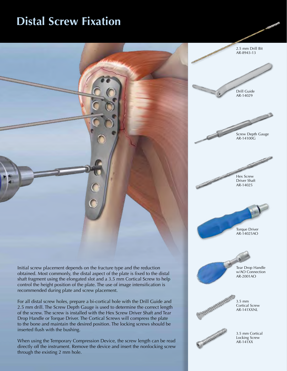### **Distal Screw Fixation**



Initial screw placement depends on the fracture type and the reduction obtained. Most commonly, the distal aspect of the plate is fixed to the distal shaft fragment using the elongated slot and a 3.5 mm Cortical Screw to help control the height position of the plate. The use of image intensification is recommended during plate and screw placement.

For all distal screw holes, prepare a bi-cortical hole with the Drill Guide and 2.5 mm drill. The Screw Depth Gauge is used to determine the correct length of the screw. The screw is installed with the Hex Screw Driver Shaft and Tear Drop Handle or Torque Driver. The Cortical Screws will compress the plate to the bone and maintain the desired position. The locking screws should be inserted flush with the bushing.

When using the Temporary Compression Device, the screw length can be read directly off the instrument. Remove the device and insert the nonlocking screw through the existing 2 mm hole.

2.5 mm Drill Bit AR-8943-13 Drill Guide AR-14029 Screw Depth Gauge AR-14100G Hex Screw Driver Shaft AR-14025 Torque Driver AR-14025AO Tear Drop Handle w/AO Connection AR-2001AO **CONTRACTOR** 3.5 mm Cortical Screw AR-141XXNL

> 3.5 mm Cortical Locking Screw AR-141XX

**Citabilities**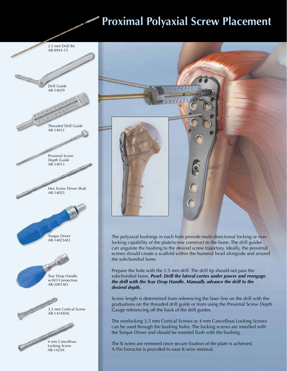## **Proximal Polyaxial Screw Placement**

2.5 mm Drill Bit





The polyaxial bushings in each hole provide multi-directional locking or nonlocking capability of the plate/screw construct to the bone. The drill guides can angulate the bushing to the desired screw trajectory. Ideally, the proximal screws should create a scaffold within the humeral head alongside and around the subchondral bone.

Prepare the hole with the 2.5 mm drill. The drill tip should not pass the subchondral bone. *Pearl: Drill the lateral cortex under power and reengage the drill with the Tear Drop Handle. Manually advance the drill to the desired depth.*

Screw length is determined from referencing the laser line on the drill with the graduations on the threaded drill guide or from using the Proximal Screw Depth Gauge referencing off the back of the drill guides.

The nonlocking 3.5 mm Cortical Screws or 4 mm Cancellous Locking Screws can be used through the bushing holes. The locking screws are installed with the Torque Driver and should be inserted flush with the bushing.

The K-wires are removed once secure fixation of the plate is achieved. A Pin Extractor is provided to ease K-wire removal.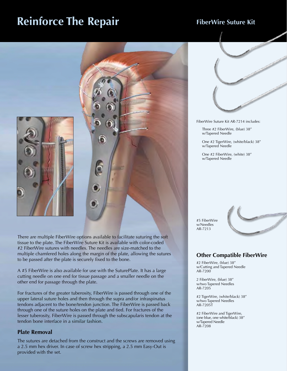### **Reinforce The Repair** FiberWire Suture Kit



There are multiple FiberWire options available to facilitate suturing the soft tissue to the plate. The FiberWire Suture Kit is available with color-coded #2 FiberWire sutures with needles. The needles are size-matched to the multiple chamfered holes along the margin of the plate, allowing the sutures to be passed after the plate is securely fixed to the bone.

A #5 FiberWire is also available for use with the SuturePlate. It has a large cutting needle on one end for tissue passage and a smaller needle on the other end for passage through the plate.

For fractures of the greater tuberosity, FiberWire is passed through one of the upper lateral suture holes and then through the supra and/or infraspinatus tendons adjacent to the bone/tendon junction. The FiberWire is passed back through one of the suture holes on the plate and tied. For fractures of the lesser tuberosity, FiberWire is passed through the subscapularis tendon at the tendon bone interface in a similar fashion.

#### **Plate Removal**

The sutures are detached from the construct and the screws are removed using a 2.5 mm hex driver. In case of screw hex stripping, a 2.5 mm Easy-Out is provided with the set.



FiberWire Suture Kit AR-7214 includes:

Three #2 FiberWire, (blue) 38" w/Tapered Needle

One #2 TigerWire, (white/black) 38" w/Tapered Needle

One #2 FiberWire, (white) 38" w/Tapered Needle

#5 FiberWire w/Needles AR-7213



#### **Other Compatible FiberWire**

#2 FiberWire, (blue) 38" w/Cutting and Tapered Needle AR-7200

2 FiberWire, (blue) 38" w/two Tapered Needles AR-7205

#2 TigerWire, (white/black) 38" w/two Tapered Needles AR-7205T

#2 FiberWire and TigerWire, (one blue, one white/black) 38" w/Tapered Needle AR-7208